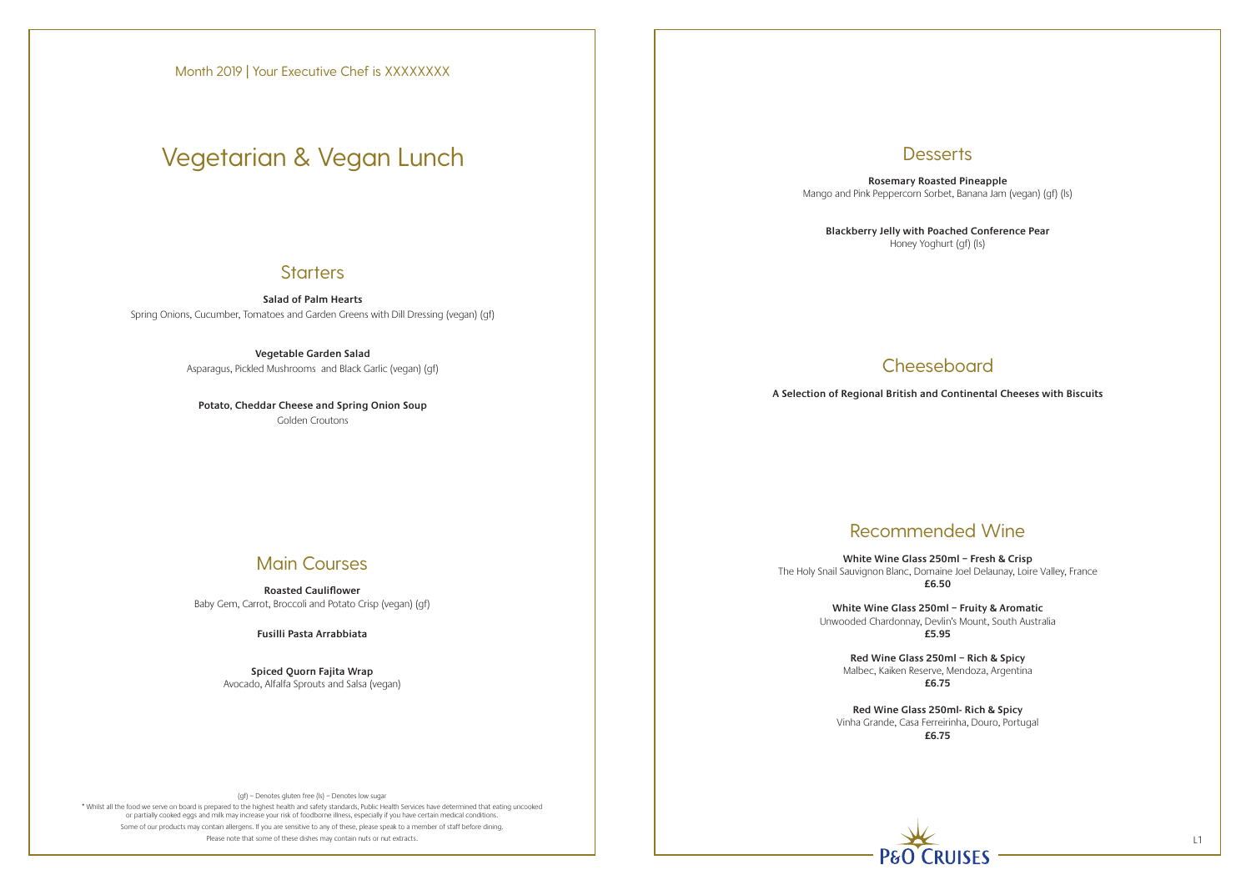\* Whilst all the food we serve on board is prepared to the highest health and safety standards, Public Health Services have determined that eating uncooked or partially cooked eggs and milk may increase your risk of foodborne illness, especially if you have certain medical conditions. Some of our products may contain allergens. If you are sensitive to any of these, please speak to a member of staff before dining. Please note that some of these dishes may contain nuts or nut extracts. L1

## **Desserts**

**Salad of Palm Hearts** Spring Onions, Cucumber, Tomatoes and Garden Greens with Dill Dressing (vegan) (gf)

> **Vegetable Garden Salad** Asparagus, Pickled Mushrooms and Black Garlic (vegan) (gf)

**Potato, Cheddar Cheese and Spring Onion Soup** Golden Croutons

## Main Courses

**Roasted Cauliflower** Baby Gem, Carrot, Broccoli and Potato Crisp (vegan) (gf)

**Fusilli Pasta Arrabbiata**

**Spiced Quorn Fajita Wrap** Avocado, Alfalfa Sprouts and Salsa (vegan)

**Rosemary Roasted Pineapple** Mango and Pink Peppercorn Sorbet, Banana Jam (vegan) (gf) (ls)

**Blackberry Jelly with Poached Conference Pear** Honey Yoghurt (gf) (ls)

# **Cheeseboard**

# Recommended Wine

**White Wine Glass 250ml – Fresh & Crisp** The Holy Snail Sauvignon Blanc, Domaine Joel Delaunay, Loire Valley, France **£6.50**

> **White Wine Glass 250ml – Fruity & Aromatic** Unwooded Chardonnay, Devlin's Mount, South Australia **£5.95**

**Red Wine Glass 250ml – Rich & Spicy**  Malbec, Kaiken Reserve, Mendoza, Argentina **£6.75**

**Red Wine Glass 250ml- Rich & Spicy**  Vinha Grande, Casa Ferreirinha, Douro, Portugal **£6.75**



**A Selection of Regional British and Continental Cheeses with Biscuits**

Month 2019 | Your Executive Chef is XXXXXXXX

# Vegetarian & Vegan Lunch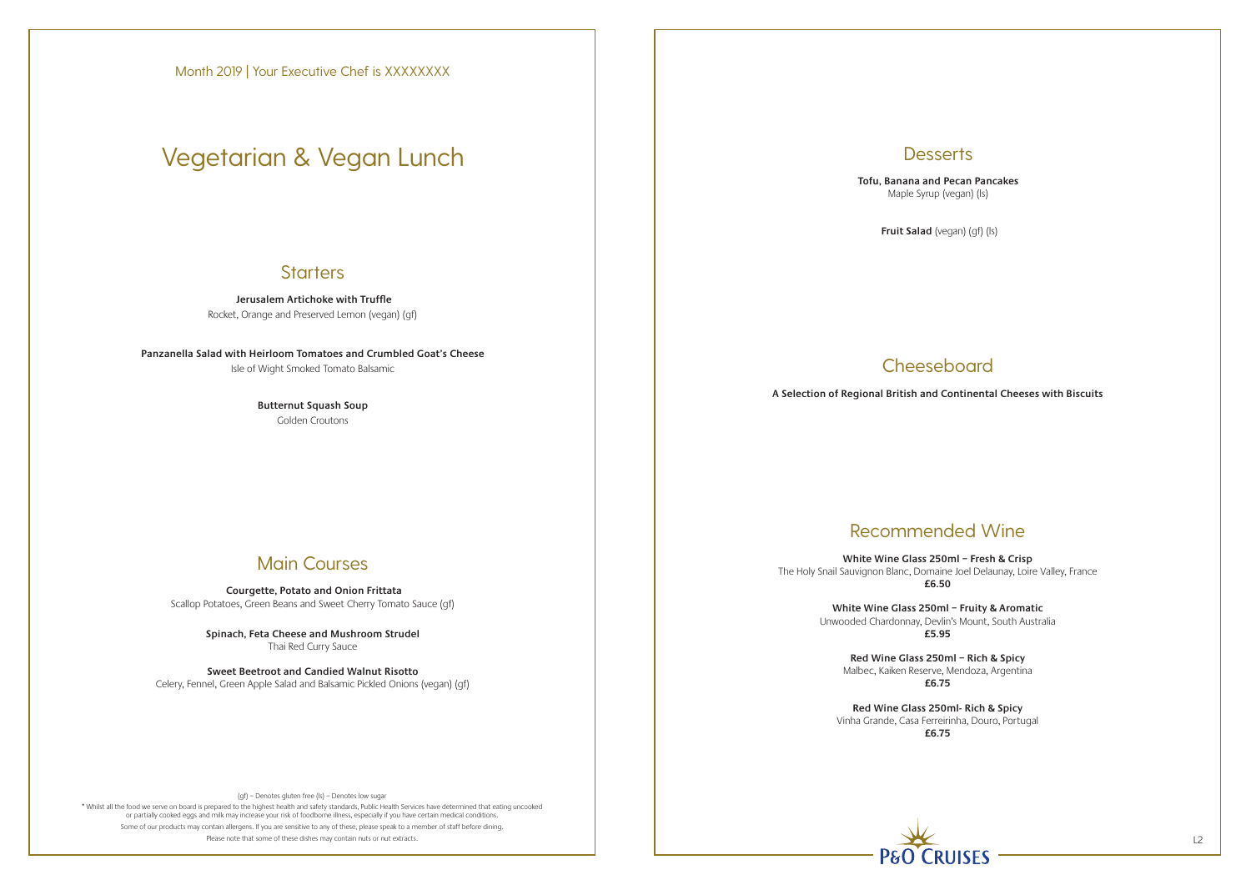\* Whilst all the food we serve on board is prepared to the highest health and safety standards, Public Health Services have determined that eating uncooked or partially cooked eggs and milk may increase your risk of foodborne illness, especially if you have certain medical conditions. Some of our products may contain allergens. If you are sensitive to any of these, please speak to a member of staff before dining. Please note that some of these dishes may contain nuts or nut extracts. L2

**Desserts** 

 **Jerusalem Artichoke with Truffle** Rocket, Orange and Preserved Lemon (vegan) (gf)

**Panzanella Salad with Heirloom Tomatoes and Crumbled Goat's Cheese** Isle of Wight Smoked Tomato Balsamic

> **Butternut Squash Soup** Golden Croutons

# Main Courses

 **Courgette, Potato and Onion Frittata** Scallop Potatoes, Green Beans and Sweet Cherry Tomato Sauce (gf)

> **Spinach, Feta Cheese and Mushroom Strudel** Thai Red Curry Sauce

**Sweet Beetroot and Candied Walnut Risotto** Celery, Fennel, Green Apple Salad and Balsamic Pickled Onions (vegan) (gf) **Tofu, Banana and Pecan Pancakes** Maple Syrup (vegan) (ls)

**Fruit Salad** (vegan) (gf) (ls)

# **Cheeseboard**

# Recommended Wine

**White Wine Glass 250ml – Fresh & Crisp** The Holy Snail Sauvignon Blanc, Domaine Joel Delaunay, Loire Valley, France **£6.50**

> **White Wine Glass 250ml – Fruity & Aromatic** Unwooded Chardonnay, Devlin's Mount, South Australia **£5.95**

**Red Wine Glass 250ml – Rich & Spicy**  Malbec, Kaiken Reserve, Mendoza, Argentina **£6.75**

**Red Wine Glass 250ml- Rich & Spicy**  Vinha Grande, Casa Ferreirinha, Douro, Portugal **£6.75**



**A Selection of Regional British and Continental Cheeses with Biscuits**

Month 2019 | Your Executive Chef is XXXXXXXX

# Vegetarian & Vegan Lunch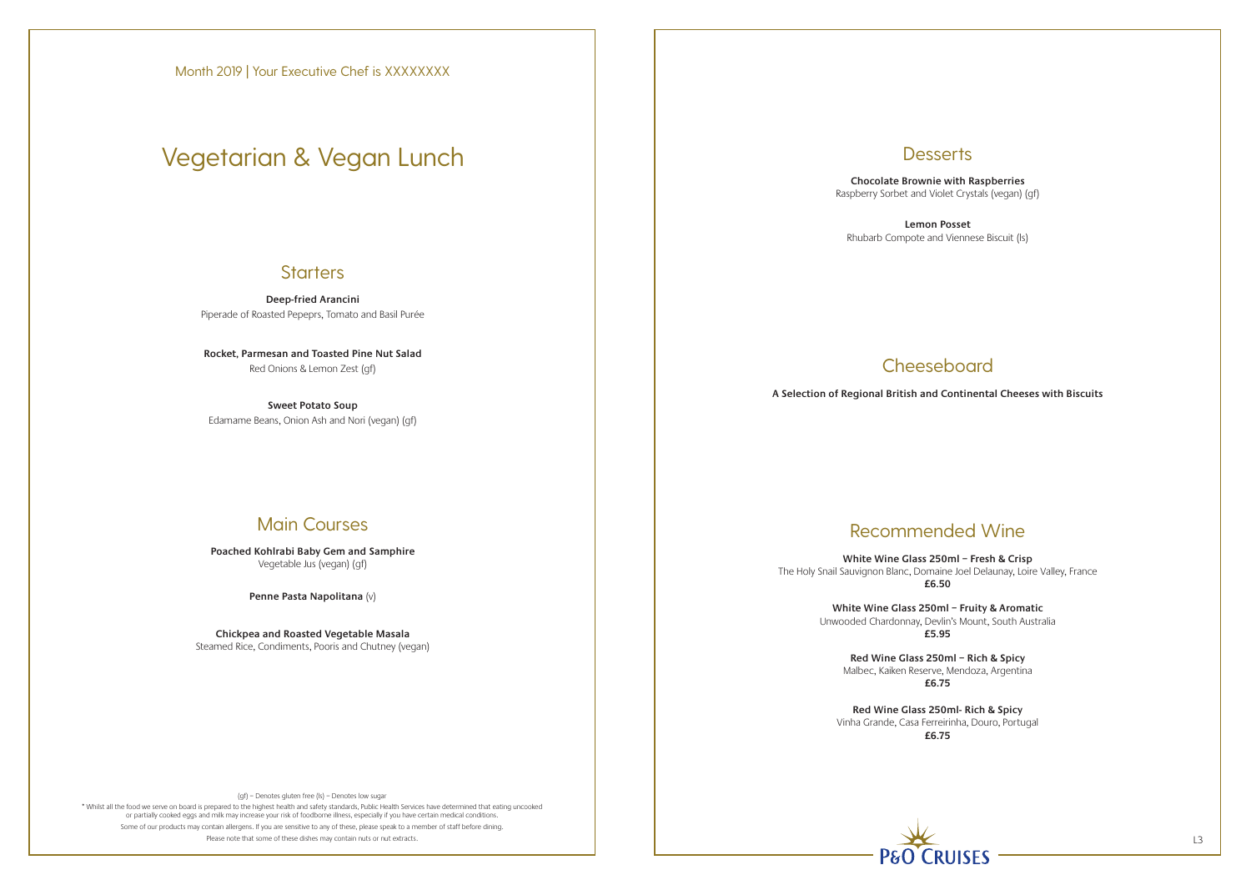\* Whilst all the food we serve on board is prepared to the highest health and safety standards, Public Health Services have determined that eating uncooked or partially cooked eggs and milk may increase your risk of foodborne illness, especially if you have certain medical conditions. Some of our products may contain allergens. If you are sensitive to any of these, please speak to a member of staff before dining. Please note that some of these dishes may contain nuts or nut extracts. L3

# **Desserts**

**Deep-fried Arancini** Piperade of Roasted Pepeprs, Tomato and Basil Purée

**Rocket, Parmesan and Toasted Pine Nut Salad** Red Onions & Lemon Zest (gf)

**Sweet Potato Soup** Edamame Beans, Onion Ash and Nori (vegan) (gf)

# Main Courses

**Poached Kohlrabi Baby Gem and Samphire** Vegetable Jus (vegan) (gf)

**Penne Pasta Napolitana** (v)

**Chickpea and Roasted Vegetable Masala** Steamed Rice, Condiments, Pooris and Chutney (vegan)

**Chocolate Brownie with Raspberries** Raspberry Sorbet and Violet Crystals (vegan) (gf)

**Lemon Posset** Rhubarb Compote and Viennese Biscuit (ls)

# **Cheeseboard**

# Recommended Wine

**White Wine Glass 250ml – Fresh & Crisp** The Holy Snail Sauvignon Blanc, Domaine Joel Delaunay, Loire Valley, France **£6.50**

> **White Wine Glass 250ml – Fruity & Aromatic** Unwooded Chardonnay, Devlin's Mount, South Australia **£5.95**

**Red Wine Glass 250ml – Rich & Spicy**  Malbec, Kaiken Reserve, Mendoza, Argentina **£6.75**

**Red Wine Glass 250ml- Rich & Spicy**  Vinha Grande, Casa Ferreirinha, Douro, Portugal **£6.75**



**A Selection of Regional British and Continental Cheeses with Biscuits**

# Vegetarian & Vegan Lunch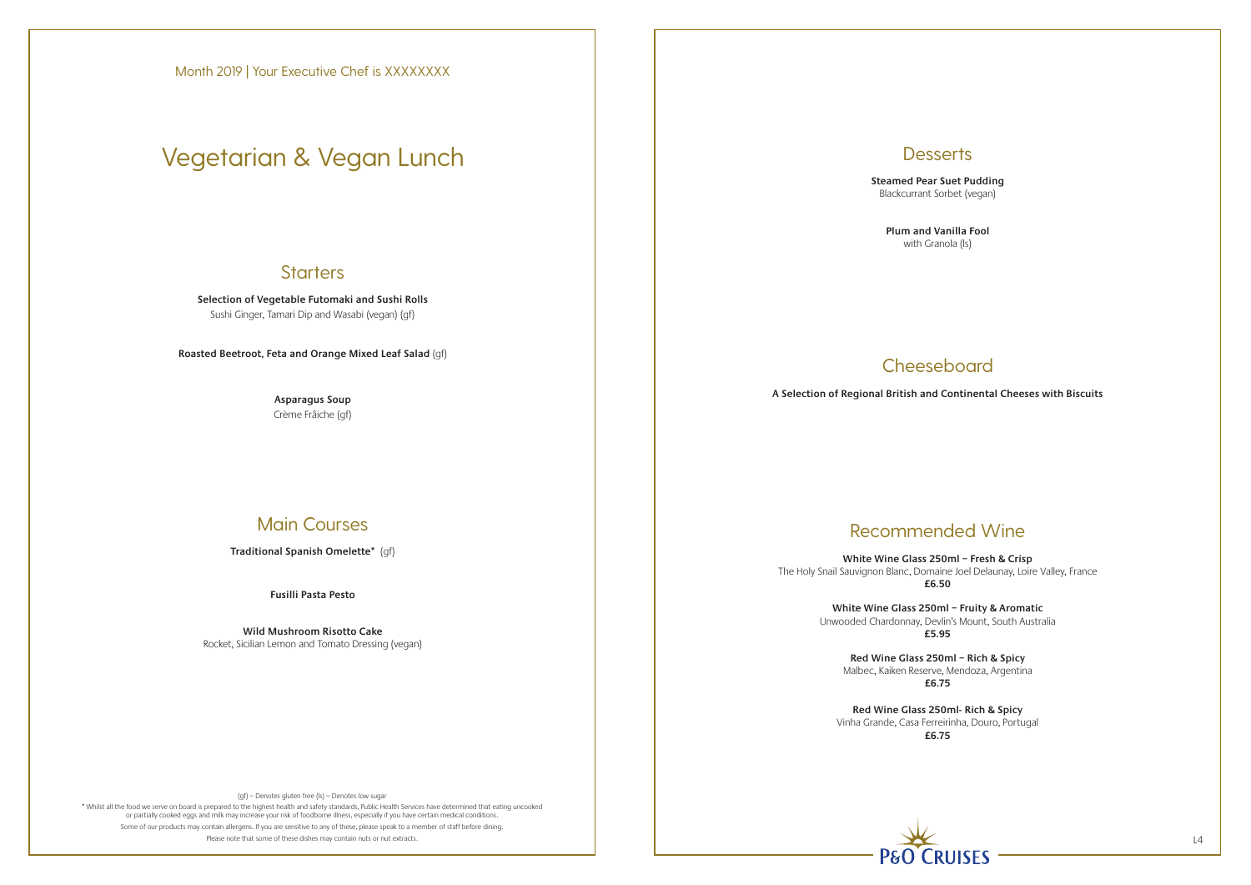\* Whilst all the food we serve on board is prepared to the highest health and safety standards, Public Health Services have determined that eating uncooked or partially cooked eggs and milk may increase your risk of foodborne illness, especially if you have certain medical conditions. Some of our products may contain allergens. If you are sensitive to any of these, please speak to a member of staff before dining. Please note that some of these dishes may contain nuts or nut extracts. L4

**Desserts** 

**Selection of Vegetable Futomaki and Sushi Rolls** Sushi Ginger, Tamari Dip and Wasabi (vegan) (gf)

**Roasted Beetroot, Feta and Orange Mixed Leaf Salad** (gf)

**Asparagus Soup** Crème Frâiche (gf)

# Main Courses

**Traditional Spanish Omelette\*** (gf)

**Fusilli Pasta Pesto**

**Wild Mushroom Risotto Cake** Rocket, Sicilian Lemon and Tomato Dressing (vegan) **Steamed Pear Suet Pudding** Blackcurrant Sorbet (vegan)

> **Plum and Vanilla Fool** with Granola (ls)

# **Cheeseboard**

# Recommended Wine

**White Wine Glass 250ml – Fresh & Crisp** The Holy Snail Sauvignon Blanc, Domaine Joel Delaunay, Loire Valley, France **£6.50**

> **White Wine Glass 250ml – Fruity & Aromatic** Unwooded Chardonnay, Devlin's Mount, South Australia **£5.95**

**Red Wine Glass 250ml – Rich & Spicy**  Malbec, Kaiken Reserve, Mendoza, Argentina **£6.75**

**Red Wine Glass 250ml- Rich & Spicy**  Vinha Grande, Casa Ferreirinha, Douro, Portugal **£6.75**



**A Selection of Regional British and Continental Cheeses with Biscuits**

Month 2019 | Your Executive Chef is XXXXXXXX

# Vegetarian & Vegan Lunch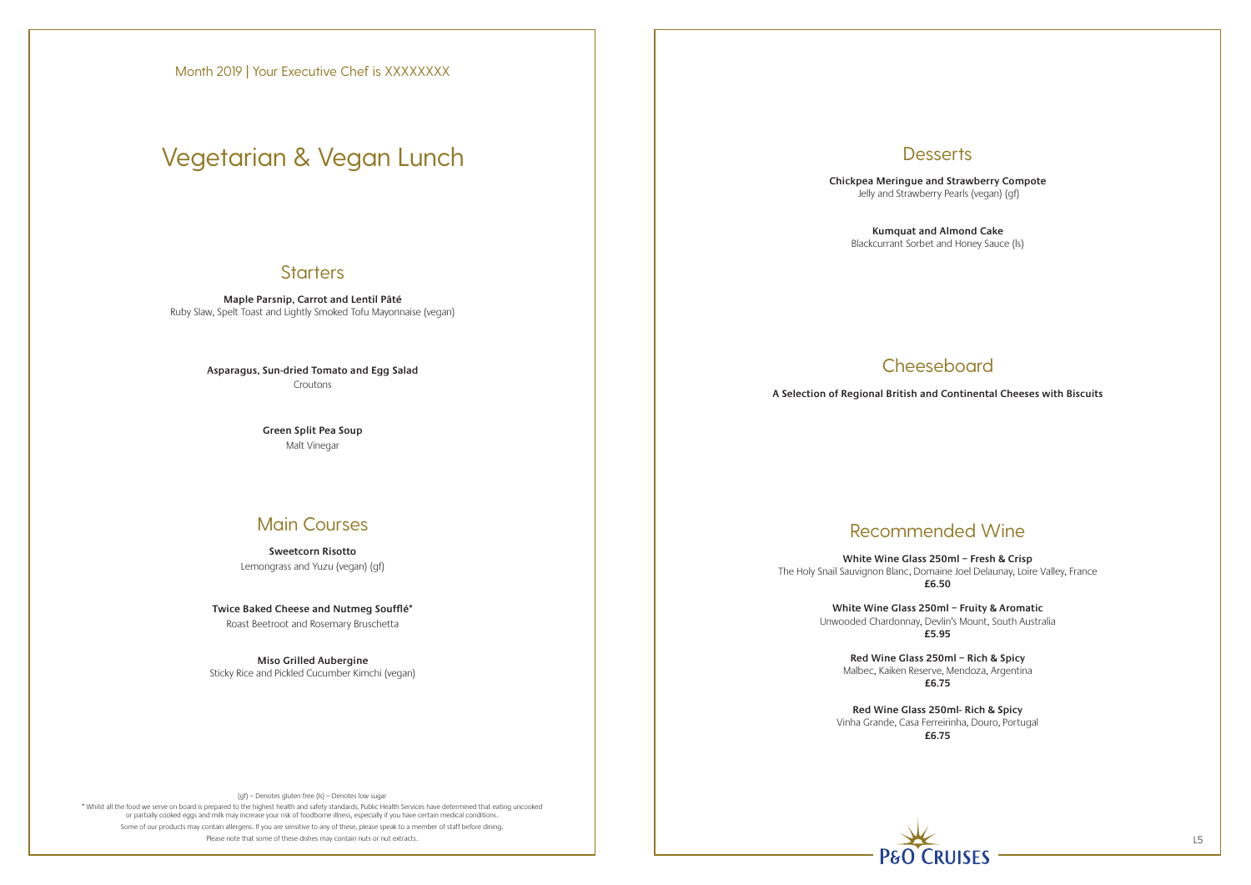\* Whilst all the food we serve on board is prepared to the highest health and safety standards, Public Health Services have determined that eating uncooked or partially cooked eggs and milk may increase your risk of foodborne illness, especially if you have certain medical conditions. Some of our products may contain allergens. If you are sensitive to any of these, please speak to a member of staff before dining. Please note that some of these dishes may contain nuts or nut extracts.

# **Desserts**

**Maple Parsnip, Carrot and Lentil Pâté** Ruby Slaw, Spelt Toast and Lightly Smoked Tofu Mayonnaise (vegan)

> **Asparagus, Sun-dried Tomato and Egg Salad** Croutons

> > **Green Split Pea Soup** Malt Vinegar

### Main Courses

**Sweetcorn Risotto** Lemongrass and Yuzu (vegan) (gf)

**Twice Baked Cheese and Nutmeg Soufflé\***  Roast Beetroot and Rosemary Bruschetta

**Miso Grilled Aubergine**  Sticky Rice and Pickled Cucumber Kimchi (vegan) **Chickpea Meringue and Strawberry Compote** Jelly and Strawberry Pearls (vegan) (gf)

**Kumquat and Almond Cake**  Blackcurrant Sorbet and Honey Sauce (ls)

# **Cheeseboard**

# Recommended Wine

**White Wine Glass 250ml – Fresh & Crisp** The Holy Snail Sauvignon Blanc, Domaine Joel Delaunay, Loire Valley, France **£6.50**

> **White Wine Glass 250ml – Fruity & Aromatic** Unwooded Chardonnay, Devlin's Mount, South Australia **£5.95**

**Red Wine Glass 250ml – Rich & Spicy**  Malbec, Kaiken Reserve, Mendoza, Argentina **£6.75**

**Red Wine Glass 250ml- Rich & Spicy**  Vinha Grande, Casa Ferreirinha, Douro, Portugal **£6.75**



**A Selection of Regional British and Continental Cheeses with Biscuits**

Month 2019 | Your Executive Chef is XXXXXXXX

# Vegetarian & Vegan Lunch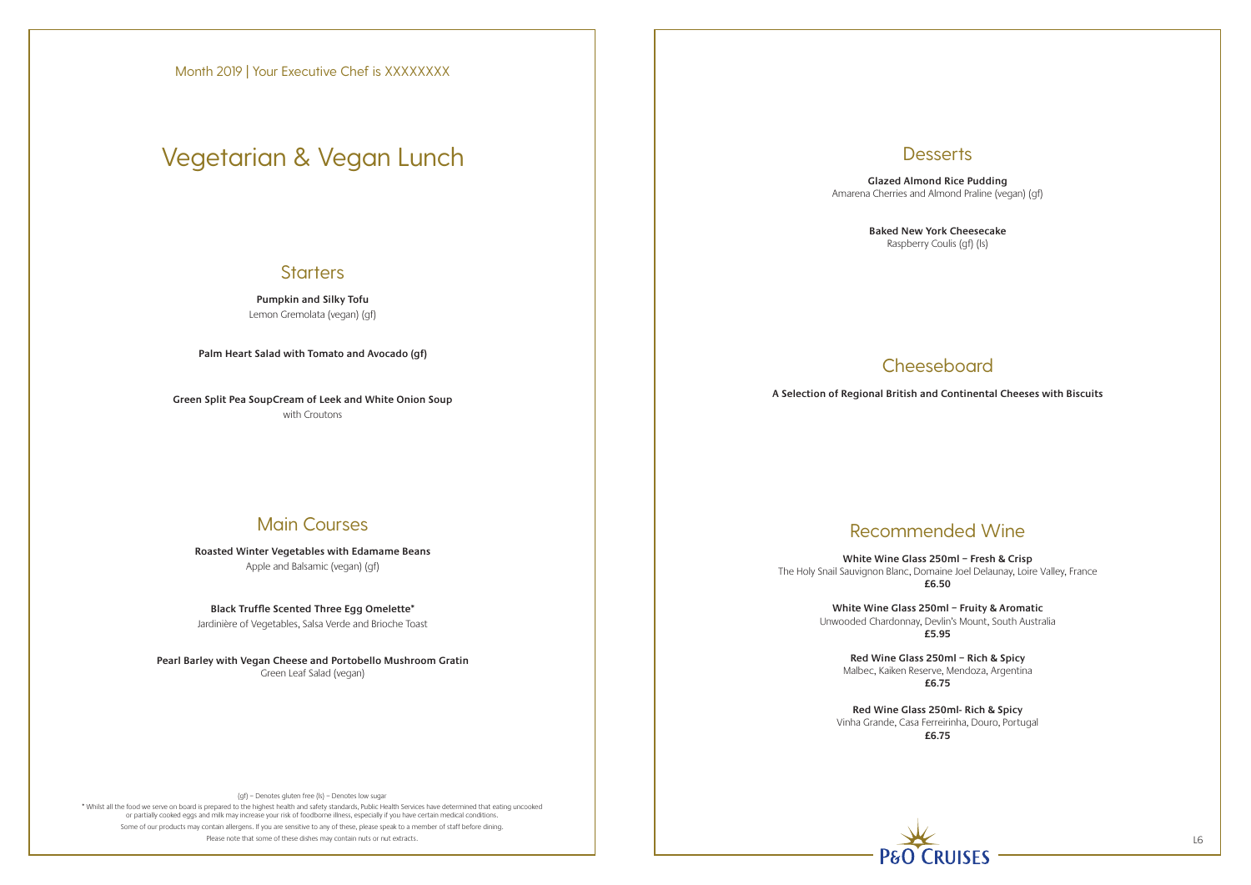\* Whilst all the food we serve on board is prepared to the highest health and safety standards, Public Health Services have determined that eating uncooked or partially cooked eggs and milk may increase your risk of foodborne illness, especially if you have certain medical conditions. Some of our products may contain allergens. If you are sensitive to any of these, please speak to a member of staff before dining. Please note that some of these dishes may contain nuts or nut extracts. L6

# **Desserts**

**Pumpkin and Silky Tofu** Lemon Gremolata (vegan) (gf)

**Palm Heart Salad with Tomato and Avocado (gf)**

**Green Split Pea SoupCream of Leek and White Onion Soup** with Croutons

## Main Courses

**Roasted Winter Vegetables with Edamame Beans** Apple and Balsamic (vegan) (gf)

**Black Truffle Scented Three Egg Omelette\***

Jardinière of Vegetables, Salsa Verde and Brioche Toast

**Pearl Barley with Vegan Cheese and Portobello Mushroom Gratin** Green Leaf Salad (vegan)

**Glazed Almond Rice Pudding** Amarena Cherries and Almond Praline (vegan) (gf)

> **Baked New York Cheesecake** Raspberry Coulis (gf) (ls)

# **Cheeseboard**

# Recommended Wine

**White Wine Glass 250ml – Fresh & Crisp** The Holy Snail Sauvignon Blanc, Domaine Joel Delaunay, Loire Valley, France **£6.50**

> **White Wine Glass 250ml – Fruity & Aromatic** Unwooded Chardonnay, Devlin's Mount, South Australia **£5.95**

**Red Wine Glass 250ml – Rich & Spicy**  Malbec, Kaiken Reserve, Mendoza, Argentina **£6.75**

**Red Wine Glass 250ml- Rich & Spicy**  Vinha Grande, Casa Ferreirinha, Douro, Portugal **£6.75**



**A Selection of Regional British and Continental Cheeses with Biscuits**

# Vegetarian & Vegan Lunch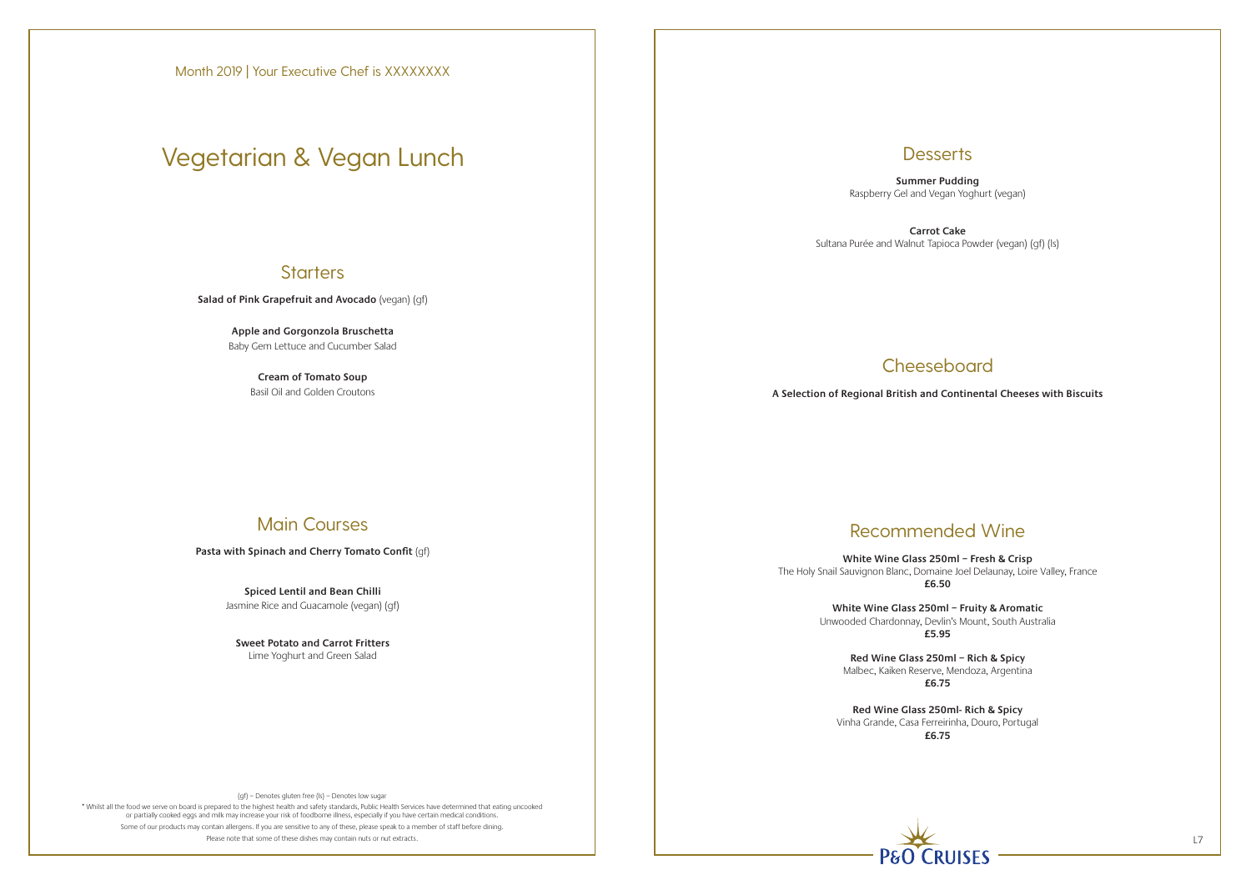\* Whilst all the food we serve on board is prepared to the highest health and safety standards, Public Health Services have determined that eating uncooked or partially cooked eggs and milk may increase your risk of foodborne illness, especially if you have certain medical conditions. Some of our products may contain allergens. If you are sensitive to any of these, please speak to a member of staff before dining. Please note that some of these dishes may contain nuts or nut extracts. L7

### **Desserts**

**Salad of Pink Grapefruit and Avocado** (vegan) (gf)

**Apple and Gorgonzola Bruschetta** Baby Gem Lettuce and Cucumber Salad

> **Cream of Tomato Soup** Basil Oil and Golden Croutons

## Main Courses

Pasta with Spinach and Cherry Tomato Confit (qf)

**Spiced Lentil and Bean Chilli** Jasmine Rice and Guacamole (vegan) (gf)

**Sweet Potato and Carrot Fritters** Lime Yoghurt and Green Salad

**Summer Pudding** Raspberry Gel and Vegan Yoghurt (vegan)

**Carrot Cake** Sultana Purée and Walnut Tapioca Powder (vegan) (gf) (ls)

# **Cheeseboard**

# Recommended Wine

**White Wine Glass 250ml – Fresh & Crisp** The Holy Snail Sauvignon Blanc, Domaine Joel Delaunay, Loire Valley, France **£6.50**

> **White Wine Glass 250ml – Fruity & Aromatic** Unwooded Chardonnay, Devlin's Mount, South Australia **£5.95**

**Red Wine Glass 250ml – Rich & Spicy**  Malbec, Kaiken Reserve, Mendoza, Argentina **£6.75**

**Red Wine Glass 250ml- Rich & Spicy**  Vinha Grande, Casa Ferreirinha, Douro, Portugal **£6.75**



**A Selection of Regional British and Continental Cheeses with Biscuits**

# Vegetarian & Vegan Lunch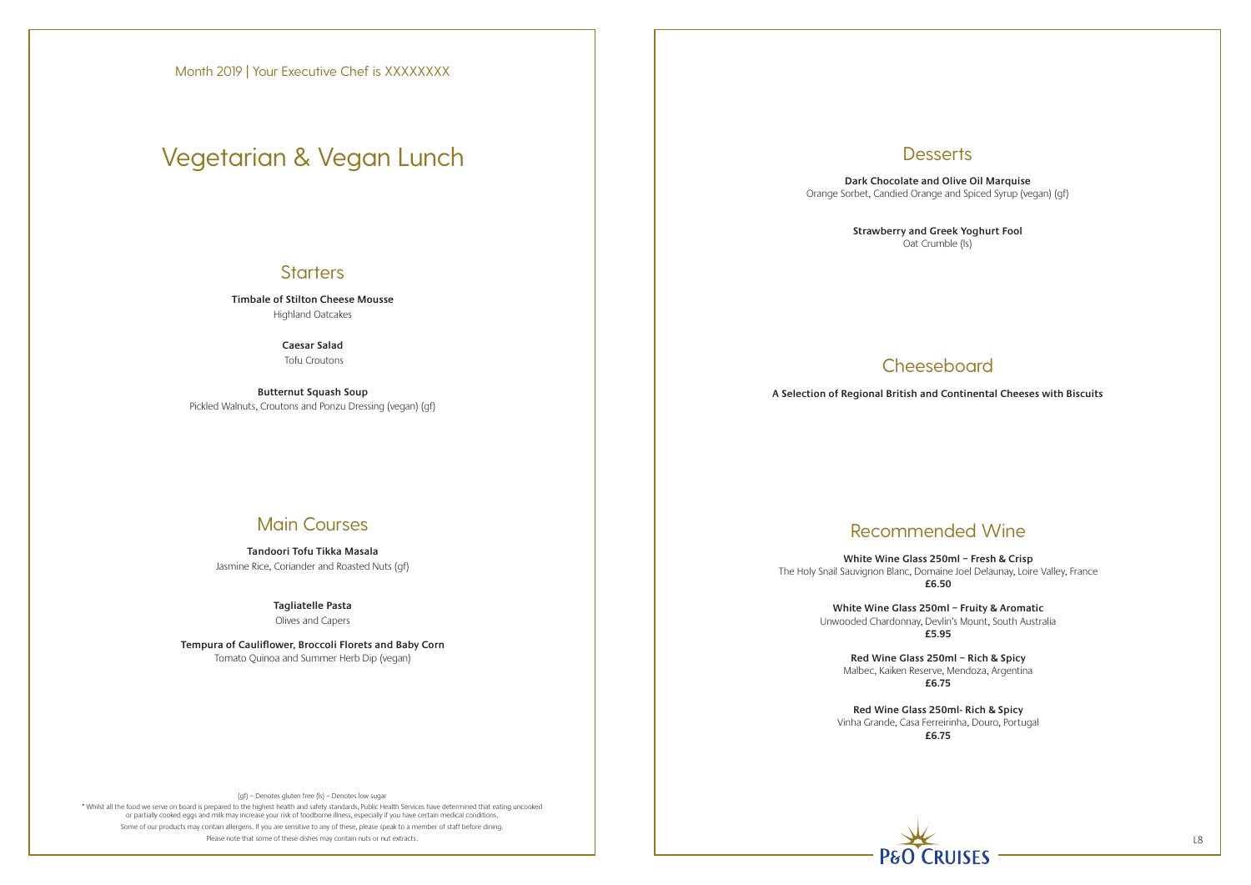\* Whilst all the food we serve on board is prepared to the highest health and safety standards, Public Health Services have determined that eating uncooked or partially cooked eggs and milk may increase your risk of foodborne illness, especially if you have certain medical conditions. Some of our products may contain allergens. If you are sensitive to any of these, please speak to a member of staff before dining. Please note that some of these dishes may contain nuts or nut extracts. L8

# **Desserts**

**Timbale of Stilton Cheese Mousse** Highland Oatcakes

> **Caesar Salad** Tofu Croutons

**Butternut Squash Soup** Pickled Walnuts, Croutons and Ponzu Dressing (vegan) (gf)

### Main Courses

**Tandoori Tofu Tikka Masala** Jasmine Rice, Coriander and Roasted Nuts (gf)

### **Tagliatelle Pasta**

Olives and Capers

**Tempura of Cauliflower, Broccoli Florets and Baby Corn** Tomato Quinoa and Summer Herb Dip (vegan)

**Dark Chocolate and Olive Oil Marquise** Orange Sorbet, Candied Orange and Spiced Syrup (vegan) (gf)

> **Strawberry and Greek Yoghurt Fool** Oat Crumble (ls)

# **Cheeseboard**

# Recommended Wine

**White Wine Glass 250ml – Fresh & Crisp** The Holy Snail Sauvignon Blanc, Domaine Joel Delaunay, Loire Valley, France **£6.50**

> **White Wine Glass 250ml – Fruity & Aromatic** Unwooded Chardonnay, Devlin's Mount, South Australia **£5.95**

**Red Wine Glass 250ml – Rich & Spicy**  Malbec, Kaiken Reserve, Mendoza, Argentina **£6.75**

**Red Wine Glass 250ml- Rich & Spicy**  Vinha Grande, Casa Ferreirinha, Douro, Portugal **£6.75**



**A Selection of Regional British and Continental Cheeses with Biscuits**

# Vegetarian & Vegan Lunch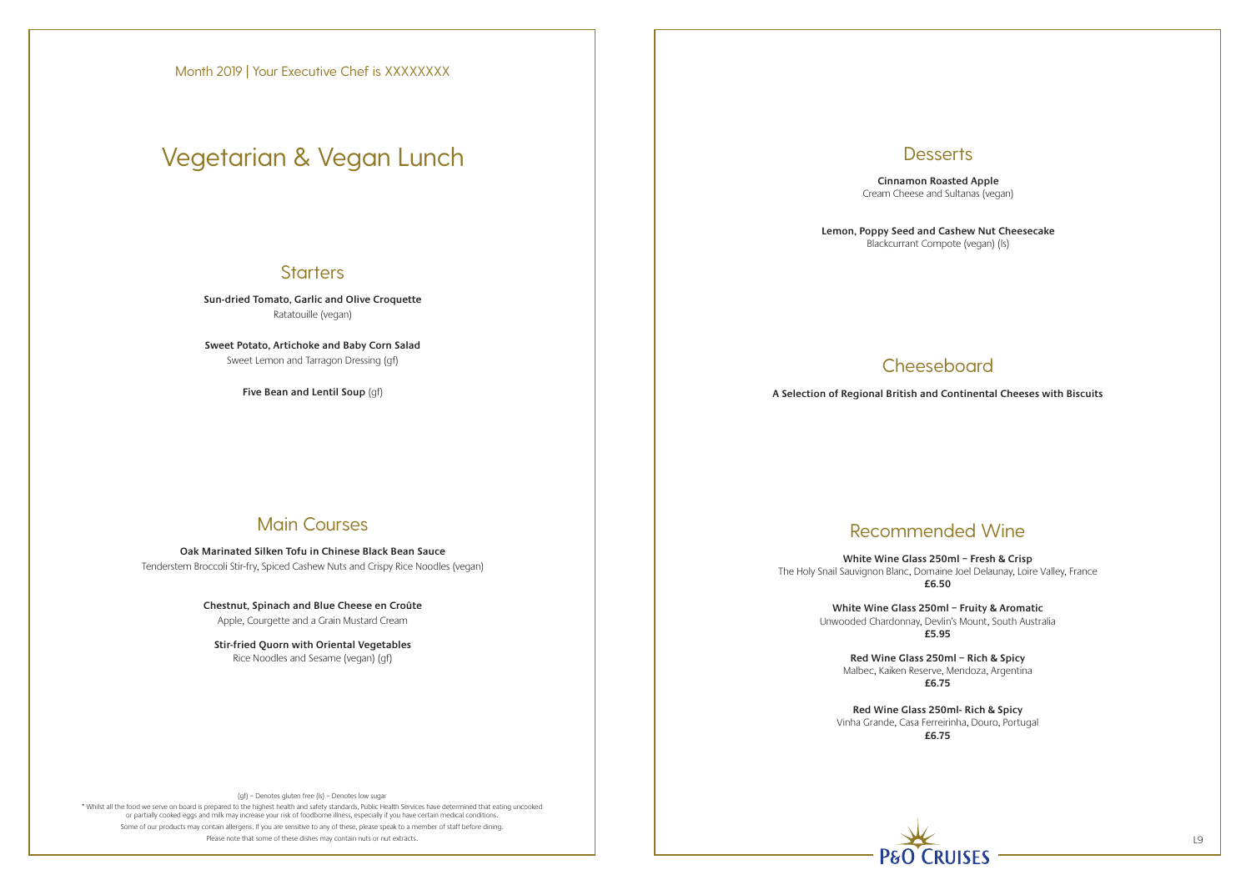\* Whilst all the food we serve on board is prepared to the highest health and safety standards, Public Health Services have determined that eating uncooked or partially cooked eggs and milk may increase your risk of foodborne illness, especially if you have certain medical conditions. Some of our products may contain allergens. If you are sensitive to any of these, please speak to a member of staff before dining. Please note that some of these dishes may contain nuts or nut extracts.

# **Desserts**

**Sun-dried Tomato, Garlic and Olive Croquette** Ratatouille (vegan)

**Sweet Potato, Artichoke and Baby Corn Salad** Sweet Lemon and Tarragon Dressing (gf)

**Five Bean and Lentil Soup** (gf)

## Main Courses

**Oak Marinated Silken Tofu in Chinese Black Bean Sauce** Tenderstem Broccoli Stir-fry, Spiced Cashew Nuts and Crispy Rice Noodles (vegan)

> **Chestnut, Spinach and Blue Cheese en Croûte** Apple, Courgette and a Grain Mustard Cream

**Stir-fried Quorn with Oriental Vegetables** Rice Noodles and Sesame (vegan) (gf)

**Cinnamon Roasted Apple** Cream Cheese and Sultanas (vegan)

**Lemon, Poppy Seed and Cashew Nut Cheesecake** Blackcurrant Compote (vegan) (ls)

# **Cheeseboard**

# Recommended Wine

**White Wine Glass 250ml – Fresh & Crisp** The Holy Snail Sauvignon Blanc, Domaine Joel Delaunay, Loire Valley, France **£6.50**

> **White Wine Glass 250ml – Fruity & Aromatic** Unwooded Chardonnay, Devlin's Mount, South Australia **£5.95**

**Red Wine Glass 250ml – Rich & Spicy**  Malbec, Kaiken Reserve, Mendoza, Argentina **£6.75**

**Red Wine Glass 250ml- Rich & Spicy**  Vinha Grande, Casa Ferreirinha, Douro, Portugal **£6.75**



**A Selection of Regional British and Continental Cheeses with Biscuits**

# Vegetarian & Vegan Lunch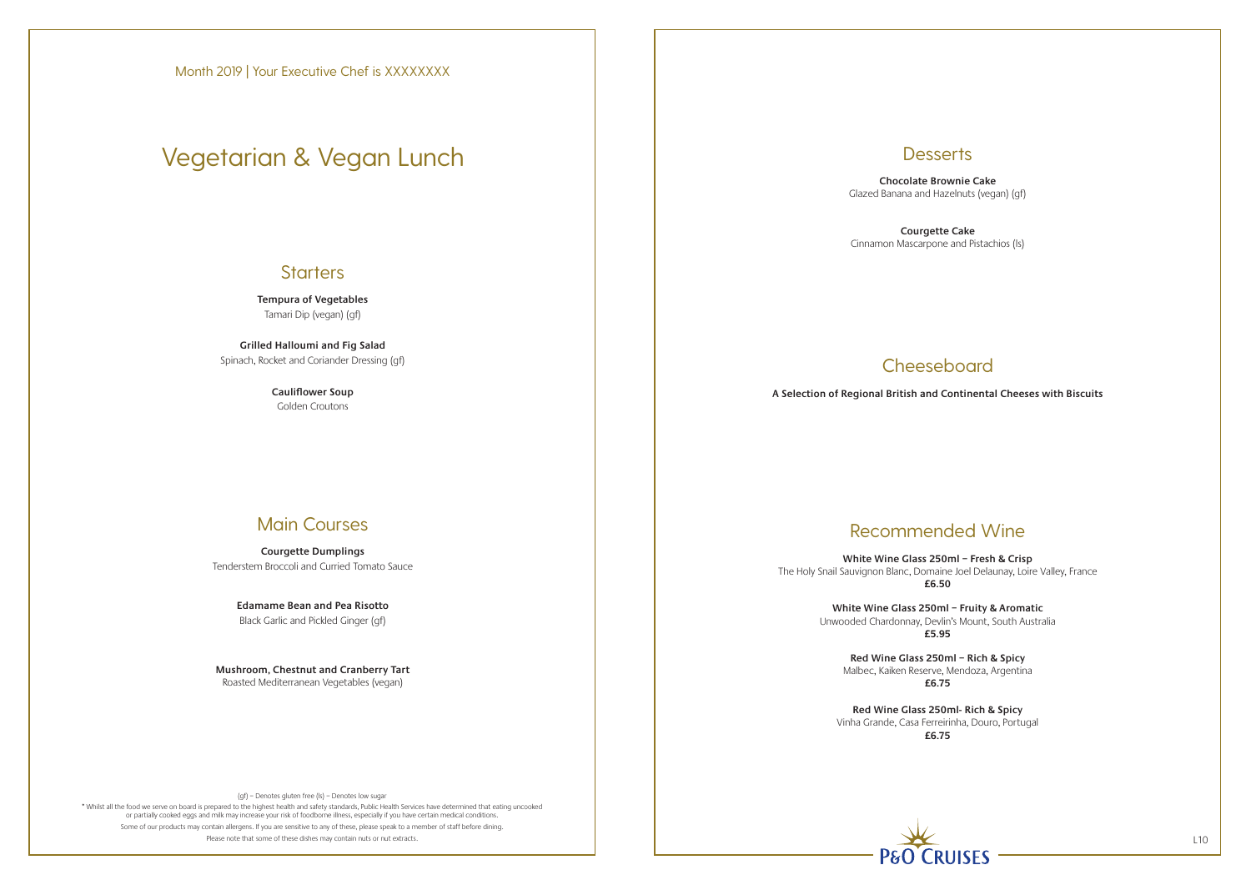\* Whilst all the food we serve on board is prepared to the highest health and safety standards, Public Health Services have determined that eating uncooked or partially cooked eggs and milk may increase your risk of foodborne illness, especially if you have certain medical conditions. Some of our products may contain allergens. If you are sensitive to any of these, please speak to a member of staff before dining. Please note that some of these dishes may contain nuts or nut extracts. L10

# **Desserts**

**Tempura of Vegetables** Tamari Dip (vegan) (gf)

**Grilled Halloumi and Fig Salad** Spinach, Rocket and Coriander Dressing (gf)

> **Cauliflower Soup** Golden Croutons

### Main Courses

**Courgette Dumplings** Tenderstem Broccoli and Curried Tomato Sauce

> **Edamame Bean and Pea Risotto** Black Garlic and Pickled Ginger (gf)

**Mushroom, Chestnut and Cranberry Tart** Roasted Mediterranean Vegetables (vegan)

**Chocolate Brownie Cake** Glazed Banana and Hazelnuts (vegan) (gf)

**Courgette Cake** Cinnamon Mascarpone and Pistachios (ls)

# **Cheeseboard**

# Recommended Wine

**White Wine Glass 250ml – Fresh & Crisp** The Holy Snail Sauvignon Blanc, Domaine Joel Delaunay, Loire Valley, France **£6.50**

> **White Wine Glass 250ml – Fruity & Aromatic** Unwooded Chardonnay, Devlin's Mount, South Australia **£5.95**

**Red Wine Glass 250ml – Rich & Spicy**  Malbec, Kaiken Reserve, Mendoza, Argentina **£6.75**

**Red Wine Glass 250ml- Rich & Spicy**  Vinha Grande, Casa Ferreirinha, Douro, Portugal **£6.75**



**A Selection of Regional British and Continental Cheeses with Biscuits**

# Vegetarian & Vegan Lunch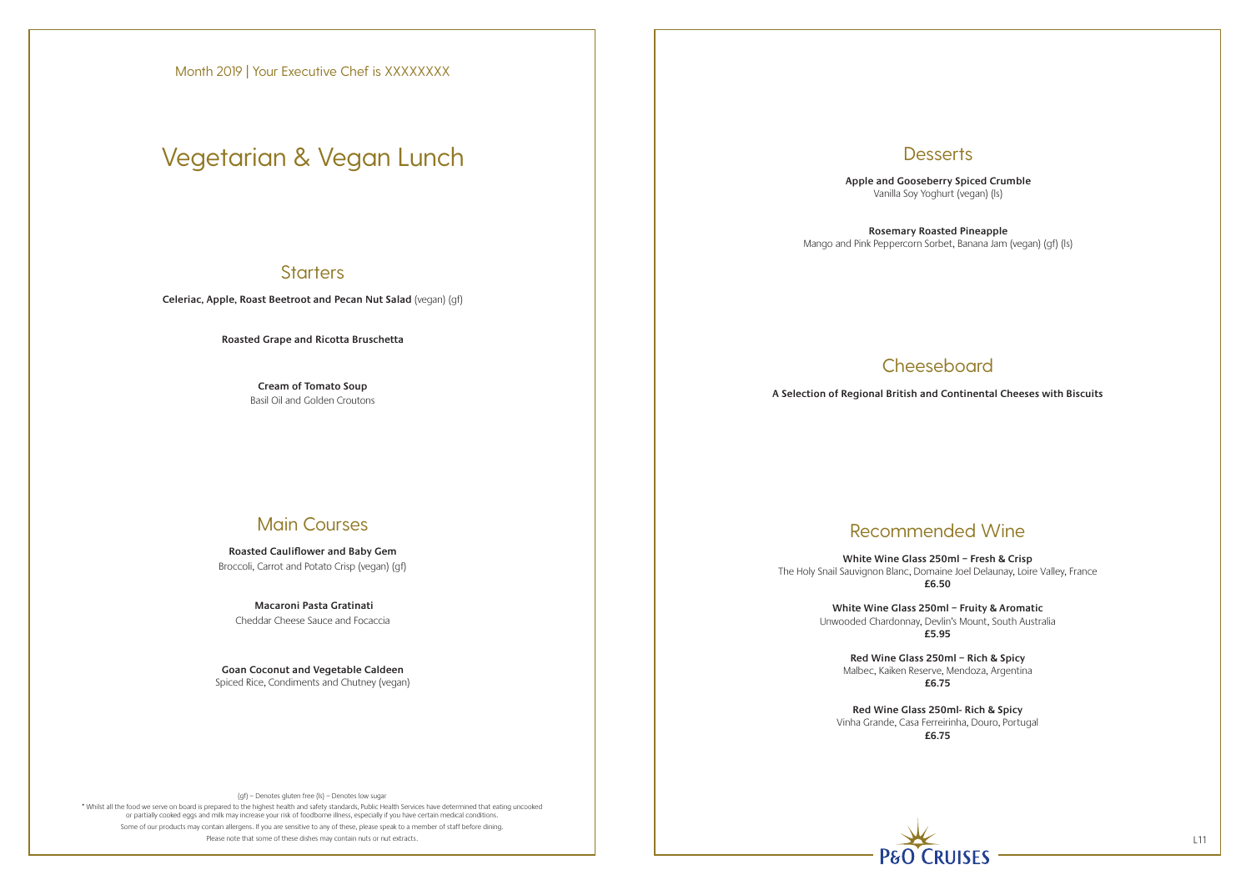\* Whilst all the food we serve on board is prepared to the highest health and safety standards, Public Health Services have determined that eating uncooked or partially cooked eggs and milk may increase your risk of foodborne illness, especially if you have certain medical conditions. Some of our products may contain allergens. If you are sensitive to any of these, please speak to a member of staff before dining. Please note that some of these dishes may contain nuts or nut extracts. L11

# **Desserts**

**Celeriac, Apple, Roast Beetroot and Pecan Nut Salad** (vegan) (gf)

**Roasted Grape and Ricotta Bruschetta**

**Cream of Tomato Soup** Basil Oil and Golden Croutons

### Main Courses

**Roasted Cauliflower and Baby Gem** Broccoli, Carrot and Potato Crisp (vegan) (gf)

 **Macaroni Pasta Gratinati** Cheddar Cheese Sauce and Focaccia

**Goan Coconut and Vegetable Caldeen** Spiced Rice, Condiments and Chutney (vegan) **Apple and Gooseberry Spiced Crumble** Vanilla Soy Yoghurt (vegan) (ls)

**Rosemary Roasted Pineapple** Mango and Pink Peppercorn Sorbet, Banana Jam (vegan) (gf) (ls)

# **Cheeseboard**

# Recommended Wine

**White Wine Glass 250ml – Fresh & Crisp** The Holy Snail Sauvignon Blanc, Domaine Joel Delaunay, Loire Valley, France **£6.50**

> **White Wine Glass 250ml – Fruity & Aromatic** Unwooded Chardonnay, Devlin's Mount, South Australia **£5.95**

**Red Wine Glass 250ml – Rich & Spicy**  Malbec, Kaiken Reserve, Mendoza, Argentina **£6.75**

**Red Wine Glass 250ml- Rich & Spicy**  Vinha Grande, Casa Ferreirinha, Douro, Portugal **£6.75**



**A Selection of Regional British and Continental Cheeses with Biscuits**

Month 2019 | Your Executive Chef is XXXXXXXX

# Vegetarian & Vegan Lunch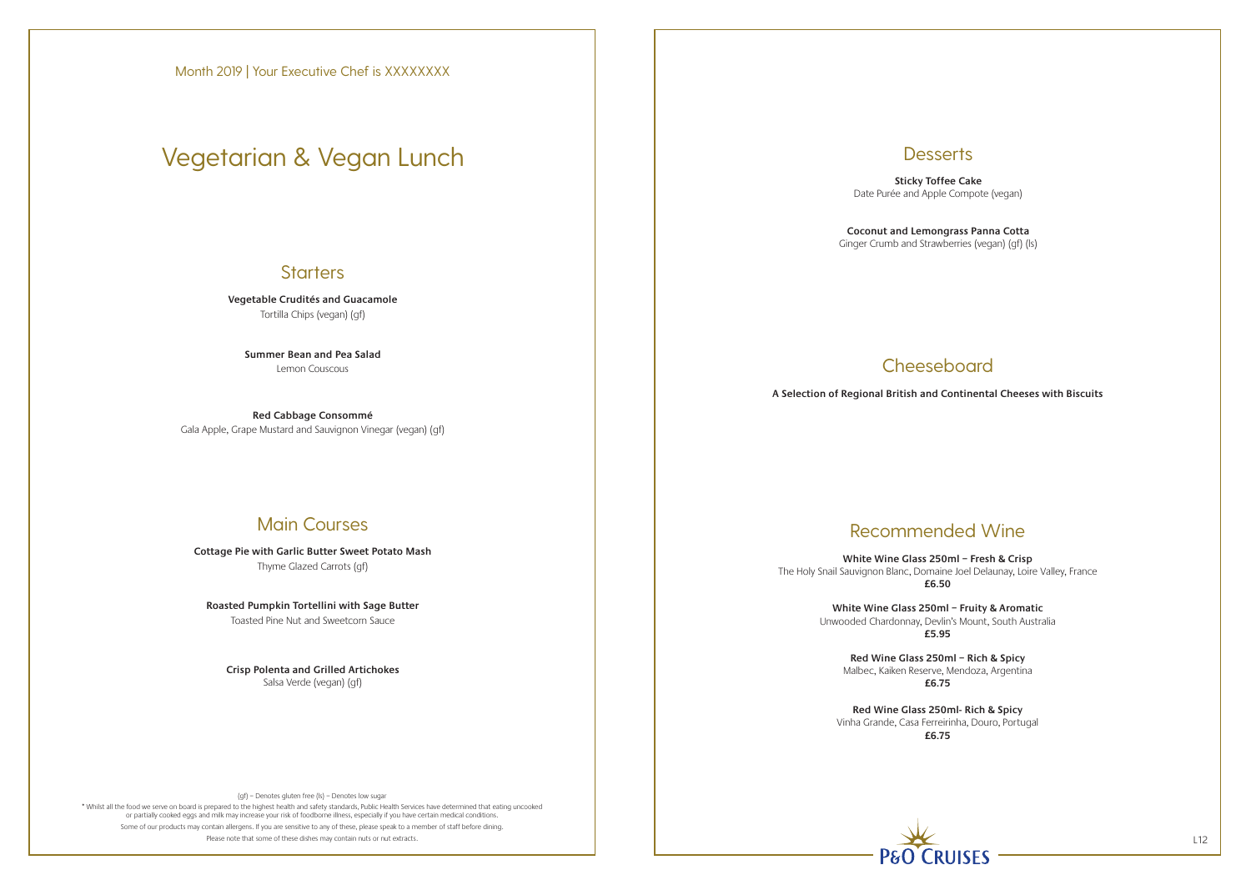\* Whilst all the food we serve on board is prepared to the highest health and safety standards, Public Health Services have determined that eating uncooked or partially cooked eggs and milk may increase your risk of foodborne illness, especially if you have certain medical conditions. Some of our products may contain allergens. If you are sensitive to any of these, please speak to a member of staff before dining. Please note that some of these dishes may contain nuts or nut extracts. L12

# **Desserts**

**Vegetable Crudités and Guacamole** Tortilla Chips (vegan) (gf)

**Summer Bean and Pea Salad** Lemon Couscous

**Red Cabbage Consommé** Gala Apple, Grape Mustard and Sauvignon Vinegar (vegan) (gf)

### Main Courses

**Cottage Pie with Garlic Butter Sweet Potato Mash** Thyme Glazed Carrots (gf)

**Roasted Pumpkin Tortellini with Sage Butter** Toasted Pine Nut and Sweetcorn Sauce

**Crisp Polenta and Grilled Artichokes** Salsa Verde (vegan) (gf)

**Sticky Toffee Cake** Date Purée and Apple Compote (vegan)

**Coconut and Lemongrass Panna Cotta**

Ginger Crumb and Strawberries (vegan) (gf) (ls)

# **Cheeseboard**

# Recommended Wine

**White Wine Glass 250ml – Fresh & Crisp** The Holy Snail Sauvignon Blanc, Domaine Joel Delaunay, Loire Valley, France **£6.50**

> **White Wine Glass 250ml – Fruity & Aromatic** Unwooded Chardonnay, Devlin's Mount, South Australia **£5.95**

**Red Wine Glass 250ml – Rich & Spicy**  Malbec, Kaiken Reserve, Mendoza, Argentina **£6.75**

**Red Wine Glass 250ml- Rich & Spicy**  Vinha Grande, Casa Ferreirinha, Douro, Portugal **£6.75**



**A Selection of Regional British and Continental Cheeses with Biscuits**

# Vegetarian & Vegan Lunch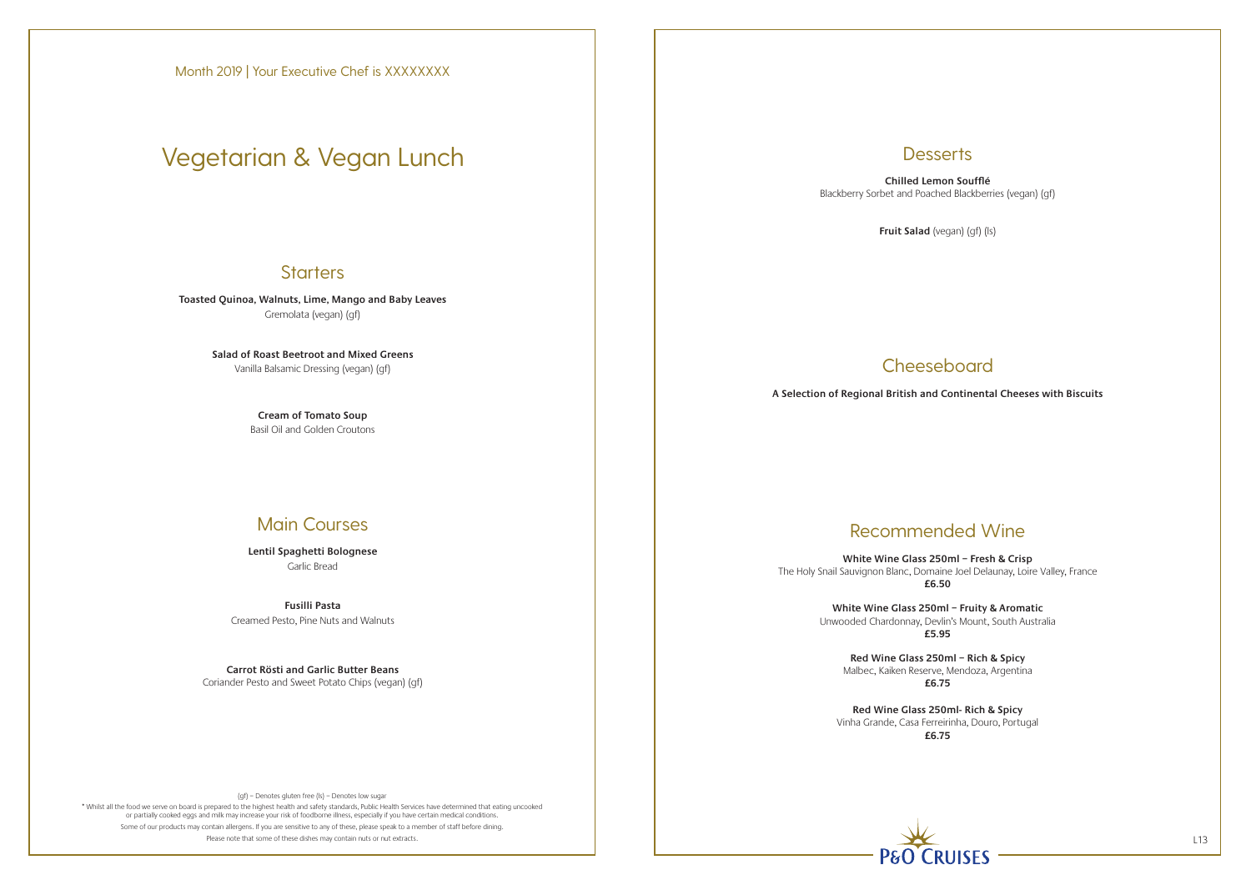\* Whilst all the food we serve on board is prepared to the highest health and safety standards, Public Health Services have determined that eating uncooked or partially cooked eggs and milk may increase your risk of foodborne illness, especially if you have certain medical conditions. Some of our products may contain allergens. If you are sensitive to any of these, please speak to a member of staff before dining. Please note that some of these dishes may contain nuts or nut extracts. L13

### **Desserts**

**Toasted Quinoa, Walnuts, Lime, Mango and Baby Leaves** Gremolata (vegan) (gf)

> **Salad of Roast Beetroot and Mixed Greens** Vanilla Balsamic Dressing (vegan) (gf)

> > **Cream of Tomato Soup** Basil Oil and Golden Croutons

### Main Courses

**Lentil Spaghetti Bolognese** Garlic Bread

**Fusilli Pasta** Creamed Pesto, Pine Nuts and Walnuts

**Carrot Rösti and Garlic Butter Beans** Coriander Pesto and Sweet Potato Chips (vegan) (gf)

**Chilled Lemon Soufflé** Blackberry Sorbet and Poached Blackberries (vegan) (gf)

**Fruit Salad** (vegan) (gf) (ls)

# **Cheeseboard**

# Recommended Wine

**White Wine Glass 250ml – Fresh & Crisp** The Holy Snail Sauvignon Blanc, Domaine Joel Delaunay, Loire Valley, France **£6.50**

> **White Wine Glass 250ml – Fruity & Aromatic** Unwooded Chardonnay, Devlin's Mount, South Australia **£5.95**

**Red Wine Glass 250ml – Rich & Spicy**  Malbec, Kaiken Reserve, Mendoza, Argentina **£6.75**

**Red Wine Glass 250ml- Rich & Spicy**  Vinha Grande, Casa Ferreirinha, Douro, Portugal **£6.75**



**A Selection of Regional British and Continental Cheeses with Biscuits**

Month 2019 | Your Executive Chef is XXXXXXXX

# Vegetarian & Vegan Lunch